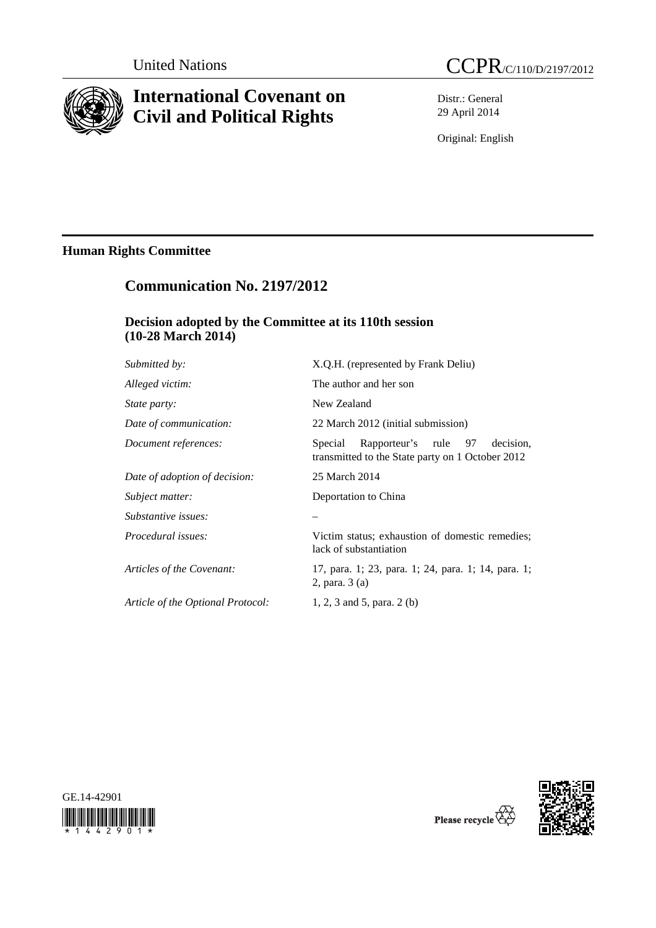

# **International Covenant on Civil and Political Rights**

Distr.: General 29 April 2014

Original: English

# **Human Rights Committee**

# **Communication No. 2197/2012**

## **Decision adopted by the Committee at its 110th session (10-28 March 2014)**

| X.Q.H. (represented by Frank Deliu)                                                              |
|--------------------------------------------------------------------------------------------------|
| The author and her son                                                                           |
| New Zealand                                                                                      |
| 22 March 2012 (initial submission)                                                               |
| Rapporteur's rule 97<br>decision.<br>Special<br>transmitted to the State party on 1 October 2012 |
| 25 March 2014                                                                                    |
| Deportation to China                                                                             |
|                                                                                                  |
| Victim status; exhaustion of domestic remedies;<br>lack of substantiation                        |
| 17, para. 1; 23, para. 1; 24, para. 1; 14, para. 1;<br>2, para. 3 (a)                            |
| 1, 2, 3 and 5, para. 2 (b)                                                                       |
|                                                                                                  |





Please recycle  $\overline{\mathbb{C}}$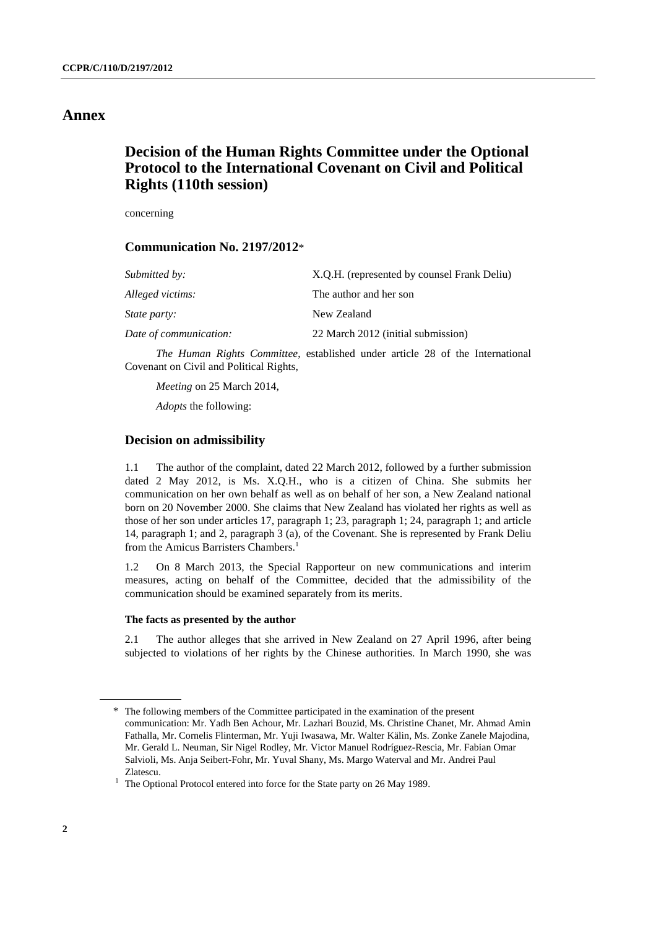## **Annex**

## **Decision of the Human Rights Committee under the Optional Protocol to the International Covenant on Civil and Political Rights (110th session)**

concerning

## **Communication No. 2197/2012**\*

| X.Q.H. (represented by counsel Frank Deliu) |
|---------------------------------------------|
| The author and her son                      |
| New Zealand                                 |
| 22 March 2012 (initial submission)          |
|                                             |

*The Human Rights Committee*, established under article 28 of the International Covenant on Civil and Political Rights,

*Meeting* on 25 March 2014,

 *Adopts* the following:

## **Decision on admissibility**

1.1 The author of the complaint, dated 22 March 2012, followed by a further submission dated 2 May 2012, is Ms. X.Q.H., who is a citizen of China. She submits her communication on her own behalf as well as on behalf of her son, a New Zealand national born on 20 November 2000. She claims that New Zealand has violated her rights as well as those of her son under articles 17, paragraph 1; 23, paragraph 1; 24, paragraph 1; and article 14, paragraph 1; and 2, paragraph 3 (a), of the Covenant. She is represented by Frank Deliu from the Amicus Barristers Chambers.<sup>1</sup>

1.2 On 8 March 2013, the Special Rapporteur on new communications and interim measures, acting on behalf of the Committee, decided that the admissibility of the communication should be examined separately from its merits.

## **The facts as presented by the author**

2.1 The author alleges that she arrived in New Zealand on 27 April 1996, after being subjected to violations of her rights by the Chinese authorities. In March 1990, she was

<sup>\*</sup> The following members of the Committee participated in the examination of the present communication: Mr. Yadh Ben Achour, Mr. Lazhari Bouzid, Ms. Christine Chanet, Mr. Ahmad Amin Fathalla, Mr. Cornelis Flinterman, Mr. Yuji Iwasawa, Mr. Walter Kälin, Ms. Zonke Zanele Majodina, Mr. Gerald L. Neuman, Sir Nigel Rodley, Mr. Victor Manuel Rodríguez-Rescia, Mr. Fabian Omar Salvioli, Ms. Anja Seibert-Fohr, Mr. Yuval Shany, Ms. Margo Waterval and Mr. Andrei Paul Zlatescu.<br><sup>1</sup> The Optional Protocol entered into force for the State party on 26 May 1989.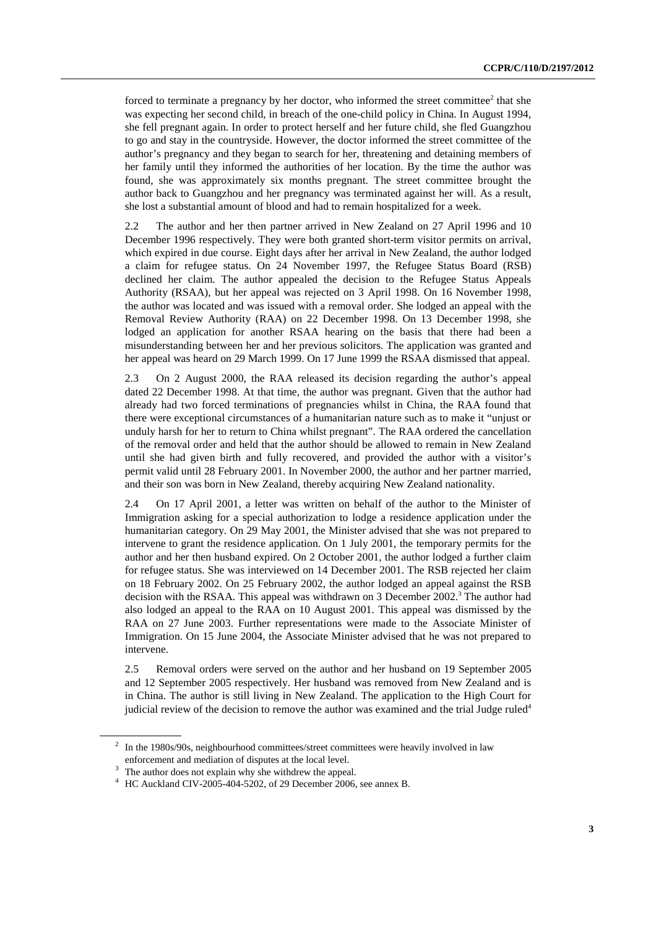forced to terminate a pregnancy by her doctor, who informed the street committee $2$  that she was expecting her second child, in breach of the one-child policy in China. In August 1994, she fell pregnant again. In order to protect herself and her future child, she fled Guangzhou to go and stay in the countryside. However, the doctor informed the street committee of the author's pregnancy and they began to search for her, threatening and detaining members of her family until they informed the authorities of her location. By the time the author was found, she was approximately six months pregnant. The street committee brought the author back to Guangzhou and her pregnancy was terminated against her will. As a result, she lost a substantial amount of blood and had to remain hospitalized for a week.

2.2 The author and her then partner arrived in New Zealand on 27 April 1996 and 10 December 1996 respectively. They were both granted short-term visitor permits on arrival, which expired in due course. Eight days after her arrival in New Zealand, the author lodged a claim for refugee status. On 24 November 1997, the Refugee Status Board (RSB) declined her claim. The author appealed the decision to the Refugee Status Appeals Authority (RSAA), but her appeal was rejected on 3 April 1998. On 16 November 1998, the author was located and was issued with a removal order. She lodged an appeal with the Removal Review Authority (RAA) on 22 December 1998. On 13 December 1998, she lodged an application for another RSAA hearing on the basis that there had been a misunderstanding between her and her previous solicitors. The application was granted and her appeal was heard on 29 March 1999. On 17 June 1999 the RSAA dismissed that appeal.

2.3 On 2 August 2000, the RAA released its decision regarding the author's appeal dated 22 December 1998. At that time, the author was pregnant. Given that the author had already had two forced terminations of pregnancies whilst in China, the RAA found that there were exceptional circumstances of a humanitarian nature such as to make it "unjust or unduly harsh for her to return to China whilst pregnant". The RAA ordered the cancellation of the removal order and held that the author should be allowed to remain in New Zealand until she had given birth and fully recovered, and provided the author with a visitor's permit valid until 28 February 2001. In November 2000, the author and her partner married, and their son was born in New Zealand, thereby acquiring New Zealand nationality.

2.4 On 17 April 2001, a letter was written on behalf of the author to the Minister of Immigration asking for a special authorization to lodge a residence application under the humanitarian category. On 29 May 2001, the Minister advised that she was not prepared to intervene to grant the residence application. On 1 July 2001, the temporary permits for the author and her then husband expired. On 2 October 2001, the author lodged a further claim for refugee status. She was interviewed on 14 December 2001. The RSB rejected her claim on 18 February 2002. On 25 February 2002, the author lodged an appeal against the RSB decision with the RSAA. This appeal was withdrawn on 3 December 2002.<sup>3</sup> The author had also lodged an appeal to the RAA on 10 August 2001. This appeal was dismissed by the RAA on 27 June 2003. Further representations were made to the Associate Minister of Immigration. On 15 June 2004, the Associate Minister advised that he was not prepared to intervene.

2.5 Removal orders were served on the author and her husband on 19 September 2005 and 12 September 2005 respectively. Her husband was removed from New Zealand and is in China. The author is still living in New Zealand. The application to the High Court for judicial review of the decision to remove the author was examined and the trial Judge ruled<sup>4</sup>

 $2\;\;$  In the 1980s/90s, neighbourhood committees/street committees were heavily involved in law enforcement and mediation of disputes at the local level. 3 The author does not explain why she withdrew the appeal.

<sup>4</sup> HC Auckland CIV-2005-404-5202, of 29 December 2006, see annex B.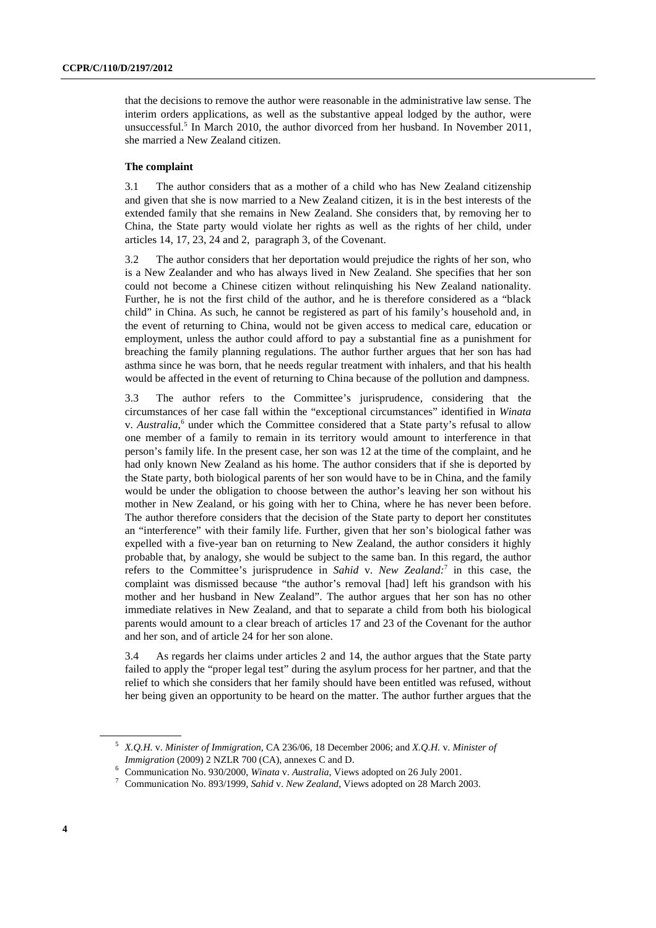that the decisions to remove the author were reasonable in the administrative law sense. The interim orders applications, as well as the substantive appeal lodged by the author, were unsuccessful.<sup>5</sup> In March 2010, the author divorced from her husband. In November 2011, she married a New Zealand citizen.

### **The complaint**

3.1 The author considers that as a mother of a child who has New Zealand citizenship and given that she is now married to a New Zealand citizen, it is in the best interests of the extended family that she remains in New Zealand. She considers that, by removing her to China, the State party would violate her rights as well as the rights of her child, under articles 14, 17, 23, 24 and 2, paragraph 3, of the Covenant.

3.2 The author considers that her deportation would prejudice the rights of her son, who is a New Zealander and who has always lived in New Zealand. She specifies that her son could not become a Chinese citizen without relinquishing his New Zealand nationality. Further, he is not the first child of the author, and he is therefore considered as a "black child" in China. As such, he cannot be registered as part of his family's household and, in the event of returning to China, would not be given access to medical care, education or employment, unless the author could afford to pay a substantial fine as a punishment for breaching the family planning regulations. The author further argues that her son has had asthma since he was born, that he needs regular treatment with inhalers, and that his health would be affected in the event of returning to China because of the pollution and dampness.

3.3 The author refers to the Committee's jurisprudence, considering that the circumstances of her case fall within the "exceptional circumstances" identified in *Winata*  v. Australia,<sup>6</sup> under which the Committee considered that a State party's refusal to allow one member of a family to remain in its territory would amount to interference in that person's family life. In the present case, her son was 12 at the time of the complaint, and he had only known New Zealand as his home. The author considers that if she is deported by the State party, both biological parents of her son would have to be in China, and the family would be under the obligation to choose between the author's leaving her son without his mother in New Zealand, or his going with her to China, where he has never been before. The author therefore considers that the decision of the State party to deport her constitutes an "interference" with their family life. Further, given that her son's biological father was expelled with a five-year ban on returning to New Zealand, the author considers it highly probable that, by analogy, she would be subject to the same ban. In this regard, the author refers to the Committee's jurisprudence in *Sahid* v. *New Zealand:*<sup>7</sup> in this case, the complaint was dismissed because "the author's removal [had] left his grandson with his mother and her husband in New Zealand". The author argues that her son has no other immediate relatives in New Zealand, and that to separate a child from both his biological parents would amount to a clear breach of articles 17 and 23 of the Covenant for the author and her son, and of article 24 for her son alone.

3.4 As regards her claims under articles 2 and 14, the author argues that the State party failed to apply the "proper legal test" during the asylum process for her partner, and that the relief to which she considers that her family should have been entitled was refused, without her being given an opportunity to be heard on the matter. The author further argues that the

<sup>5</sup> *X.Q.H.* v. *Minister of Immigration,* CA 236/06, 18 December 2006; and *X.Q.H.* v. *Minister of Immigration* (2009) 2 NZLR 700 (CA), annexes C and D.

<sup>&</sup>lt;sup>6</sup> Communication No. 930/2000, *Winata v. Australia*, Views adopted on 26 July 2001.

Communication No. 893/1999, *Sahid* v. *New Zealand*, Views adopted on 28 March 2003.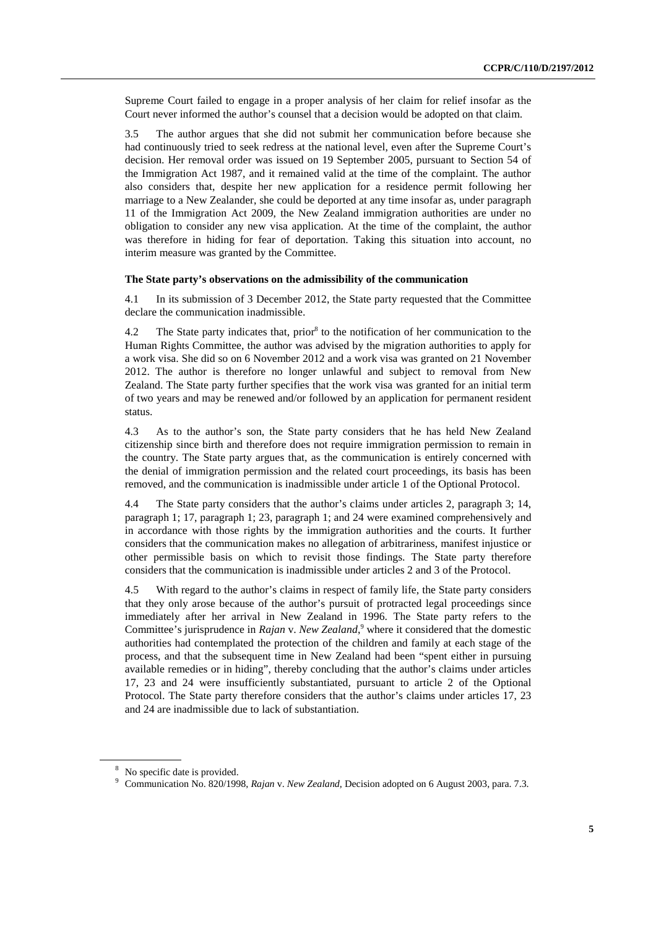Supreme Court failed to engage in a proper analysis of her claim for relief insofar as the Court never informed the author's counsel that a decision would be adopted on that claim.

3.5 The author argues that she did not submit her communication before because she had continuously tried to seek redress at the national level, even after the Supreme Court's decision. Her removal order was issued on 19 September 2005, pursuant to Section 54 of the Immigration Act 1987, and it remained valid at the time of the complaint. The author also considers that, despite her new application for a residence permit following her marriage to a New Zealander, she could be deported at any time insofar as, under paragraph 11 of the Immigration Act 2009, the New Zealand immigration authorities are under no obligation to consider any new visa application. At the time of the complaint, the author was therefore in hiding for fear of deportation. Taking this situation into account, no interim measure was granted by the Committee.

### **The State party's observations on the admissibility of the communication**

4.1 In its submission of 3 December 2012, the State party requested that the Committee declare the communication inadmissible.

4.2 The State party indicates that, prior<sup>8</sup> to the notification of her communication to the Human Rights Committee, the author was advised by the migration authorities to apply for a work visa. She did so on 6 November 2012 and a work visa was granted on 21 November 2012. The author is therefore no longer unlawful and subject to removal from New Zealand. The State party further specifies that the work visa was granted for an initial term of two years and may be renewed and/or followed by an application for permanent resident status.

4.3 As to the author's son, the State party considers that he has held New Zealand citizenship since birth and therefore does not require immigration permission to remain in the country. The State party argues that, as the communication is entirely concerned with the denial of immigration permission and the related court proceedings, its basis has been removed, and the communication is inadmissible under article 1 of the Optional Protocol.

4.4 The State party considers that the author's claims under articles 2, paragraph 3; 14, paragraph 1; 17, paragraph 1; 23, paragraph 1; and 24 were examined comprehensively and in accordance with those rights by the immigration authorities and the courts. It further considers that the communication makes no allegation of arbitrariness, manifest injustice or other permissible basis on which to revisit those findings. The State party therefore considers that the communication is inadmissible under articles 2 and 3 of the Protocol.

4.5 With regard to the author's claims in respect of family life, the State party considers that they only arose because of the author's pursuit of protracted legal proceedings since immediately after her arrival in New Zealand in 1996. The State party refers to the Committee's jurisprudence in *Rajan v. New Zealand*,<sup>9</sup> where it considered that the domestic authorities had contemplated the protection of the children and family at each stage of the process, and that the subsequent time in New Zealand had been "spent either in pursuing available remedies or in hiding", thereby concluding that the author's claims under articles 17, 23 and 24 were insufficiently substantiated, pursuant to article 2 of the Optional Protocol. The State party therefore considers that the author's claims under articles 17, 23 and 24 are inadmissible due to lack of substantiation.

<sup>&</sup>lt;sup>8</sup> No specific date is provided.

<sup>9</sup> Communication No. 820/1998, *Rajan* v. *New Zealand*, Decision adopted on 6 August 2003, para. 7.3.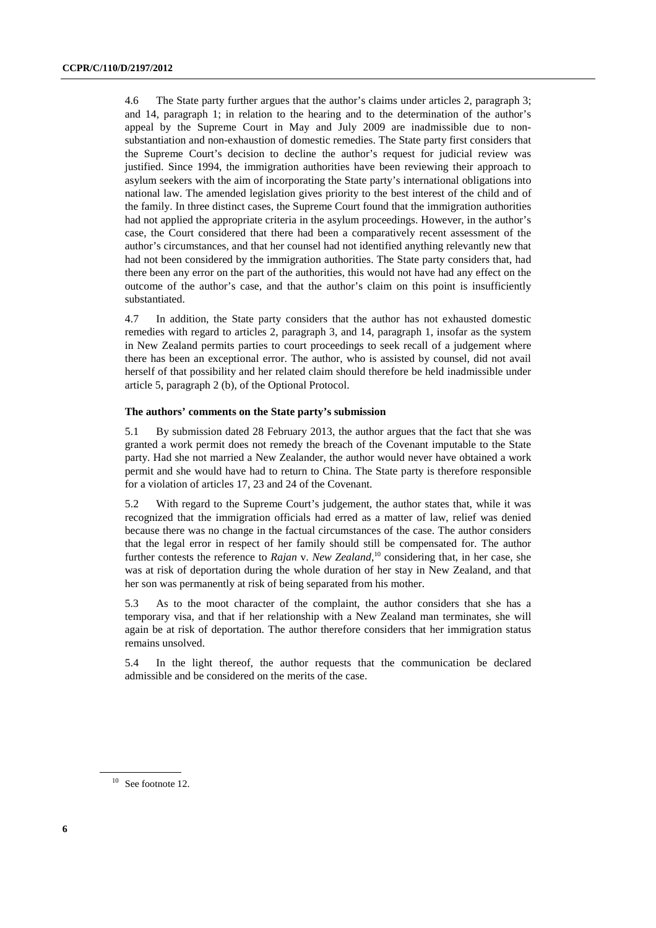4.6 The State party further argues that the author's claims under articles 2, paragraph 3; and 14, paragraph 1; in relation to the hearing and to the determination of the author's appeal by the Supreme Court in May and July 2009 are inadmissible due to nonsubstantiation and non-exhaustion of domestic remedies. The State party first considers that the Supreme Court's decision to decline the author's request for judicial review was justified. Since 1994, the immigration authorities have been reviewing their approach to asylum seekers with the aim of incorporating the State party's international obligations into national law. The amended legislation gives priority to the best interest of the child and of the family. In three distinct cases, the Supreme Court found that the immigration authorities had not applied the appropriate criteria in the asylum proceedings. However, in the author's case, the Court considered that there had been a comparatively recent assessment of the author's circumstances, and that her counsel had not identified anything relevantly new that had not been considered by the immigration authorities. The State party considers that, had there been any error on the part of the authorities, this would not have had any effect on the outcome of the author's case, and that the author's claim on this point is insufficiently substantiated.

4.7 In addition, the State party considers that the author has not exhausted domestic remedies with regard to articles 2, paragraph 3, and 14, paragraph 1, insofar as the system in New Zealand permits parties to court proceedings to seek recall of a judgement where there has been an exceptional error. The author, who is assisted by counsel, did not avail herself of that possibility and her related claim should therefore be held inadmissible under article 5, paragraph 2 (b), of the Optional Protocol.

#### **The authors' comments on the State party's submission**

5.1 By submission dated 28 February 2013, the author argues that the fact that she was granted a work permit does not remedy the breach of the Covenant imputable to the State party. Had she not married a New Zealander, the author would never have obtained a work permit and she would have had to return to China. The State party is therefore responsible for a violation of articles 17, 23 and 24 of the Covenant.

5.2 With regard to the Supreme Court's judgement, the author states that, while it was recognized that the immigration officials had erred as a matter of law, relief was denied because there was no change in the factual circumstances of the case. The author considers that the legal error in respect of her family should still be compensated for. The author further contests the reference to *Rajan* v. *New Zealand,*10 considering that, in her case, she was at risk of deportation during the whole duration of her stay in New Zealand, and that her son was permanently at risk of being separated from his mother.

5.3 As to the moot character of the complaint, the author considers that she has a temporary visa, and that if her relationship with a New Zealand man terminates, she will again be at risk of deportation. The author therefore considers that her immigration status remains unsolved.

5.4 In the light thereof, the author requests that the communication be declared admissible and be considered on the merits of the case.

<sup>10</sup> See footnote 12.